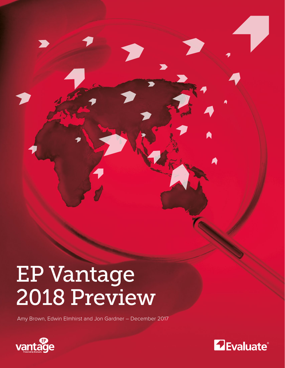# EP Vantage 2018 Preview

Amy Brown, Edwin Elmhirst and Jon Gardner – December 2017



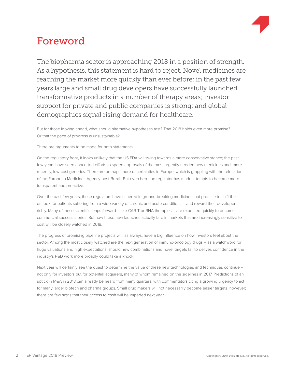

## Foreword

The biopharma sector is approaching 2018 in a position of strength. As a hypothesis, this statement is hard to reject. Novel medicines are reaching the market more quickly than ever before; in the past few years large and small drug developers have successfully launched transformative products in a number of therapy areas; investor support for private and public companies is strong; and global demographics signal rising demand for healthcare.

But for those looking ahead, what should alternative hypotheses test? That 2018 holds even more promise? Or that the pace of progress is unsustainable?

There are arguments to be made for both statements.

On the regulatory front, it looks unlikely that the US FDA will swing towards a more conservative stance; the past few years have seen concerted efforts to speed approvals of the most urgently needed new medicines and, more recently, low-cost generics. There are perhaps more uncertainties in Europe, which is grappling with the relocation of the European Medicines Agency post-Brexit. But even here the regulator has made attempts to become more transparent and proactive.

Over the past few years, these regulators have ushered in ground-breaking medicines that promise to shift the outlook for patients suffering from a wide variety of chronic and acute conditions – and reward their developers richly. Many of these scientific leaps forward – like CAR-T or RNA therapies – are expected quickly to become commercial success stories. But how these new launches actually fare in markets that are increasingly sensitive to cost will be closely watched in 2018.

The progress of promising pipeline projects will, as always, have a big influence on how investors feel about the sector. Among the most closely watched are the next generation of immuno-oncology drugs – as a watchword for huge valuations and high expectations, should new combinations and novel targets fail to deliver, confidence in the industry's R&D work more broadly could take a knock.

Next year will certainly see the quest to determine the value of these new technologies and techniques continue – not only for investors but for potential acquirers, many of whom remained on the sidelines in 2017. Predictions of an uptick in M&A in 2018 can already be heard from many quarters, with commentators citing a growing urgency to act for many larger biotech and pharma groups. Small drug makers will not necessarily become easier targets, however; there are few signs that their access to cash will be impeded next year.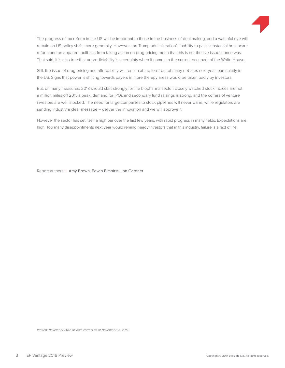

The progress of tax reform in the US will be important to those in the business of deal making, and a watchful eye will remain on US policy shifts more generally. However, the Trump administration's inability to pass substantial healthcare reform and an apparent pullback from taking action on drug pricing mean that this is not the live issue it once was. That said, it is also true that unpredictability is a certainty when it comes to the current occupant of the White House.

Still, the issue of drug pricing and affordability will remain at the forefront of many debates next year, particularly in the US. Signs that power is shifting towards payers in more therapy areas would be taken badly by investors.

But, on many measures, 2018 should start strongly for the biopharma sector: closely watched stock indices are not a million miles off 2015's peak, demand for IPOs and secondary fund raisings is strong, and the coffers of venture investors are well stocked. The need for large companies to stock pipelines will never wane, while regulators are sending industry a clear message – deliver the innovation and we will approve it.

However the sector has set itself a high bar over the last few years, with rapid progress in many fields. Expectations are high. Too many disappointments next year would remind heady investors that in this industry, failure is a fact of life.

Report authors | Amy Brown, Edwin Elmhirst, Jon Gardner

Written: November 2017. All data correct as of November 15, 2017.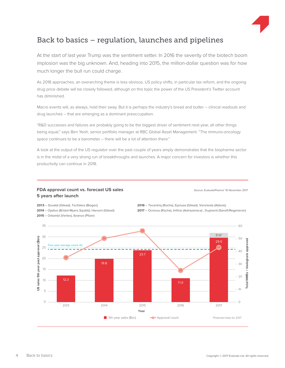

### Back to basics – regulation, launches and pipelines

At the start of last year Trump was the sentiment setter. In 2016 the severity of the biotech boom implosion was the big unknown. And, heading into 2015, the million-dollar question was for how much longer the bull run could charge.

As 2018 approaches, an overarching theme is less obvious. US policy shifts, in particular tax reform, and the ongoing drug price debate will be closely followed, although on this topic the power of the US President's Twitter account has diminished.

Macro events will, as always, hold their sway. But it is perhaps the industry's bread and butter – clinical readouts and drug launches – that are emerging as a dominant preoccupation.

"R&D successes and failures are probably going to be the biggest driver of sentiment next year, all other things being equal," says Ben Yeoh, senior portfolio manager at RBC Global Asset Management. "The immuno-oncology space continues to be a barometer – there will be a lot of attention there."

A look at the output of the US regulator over the past couple of years amply demonstrates that the biopharma sector is in the midst of a very strong run of breakthroughs and launches. A major concern for investors is whether this productivity can continue in 2018.

### **FDA approval count vs. forecast US sales 15 November 2017** Source: EvaluatePharma<sup>®</sup> 15 November 2017 **5 years after launch**

**2013** – Sovaldi (Gilead), Tecfidera (Biogen) **2014** – Opdivo (Bristol-Myers Squibb), Harvoni (Gilead) **2015** – Orkambi (Vertex), Ibrance (Pfizer)

**2016** – Tecentriq (Roche), Epclusa (Gilead), Venclexta (Abbvie)

**2017** – Ocrevus (Roche), Imfinzi (Astrazeneca) , Dupixent (Sanofi/Regeneron)

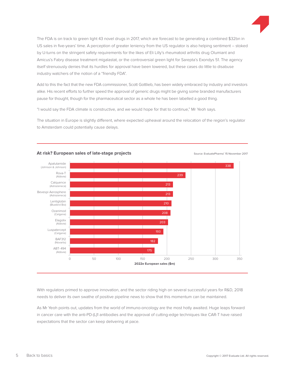

The FDA is on track to green light 43 novel drugs in 2017, which are forecast to be generating a combined \$32bn in US sales in five-years' time. A perception of greater leniency from the US regulator is also helping sentiment – stoked by U-turns on the stringent safety requirements for the likes of Eli Lilly's rheumatoid arthritis drug Olumiant and Amicus's Fabry disease treatment migalastat, or the controversial green light for Sarepta's Exondys 51. The agency itself strenuously denies that its hurdles for approval have been lowered, but these cases do little to disabuse industry watchers of the notion of a "friendly FDA".

Add to this the fact that the new FDA commissioner, Scott Gottlieb, has been widely embraced by industry and investors alike. His recent efforts to further speed the approval of generic drugs might be giving some branded manufacturers pause for thought, though for the pharmaceutical sector as a whole he has been labelled a good thing.

"I would say the FDA climate is constructive, and we would hope for that to continue," Mr Yeoh says.

The situation in Europe is slightly different, where expected upheaval around the relocation of the region's regulator to Amsterdam could potentially cause delays.



### Source: EvaluatePharma® **At risk? European sales of late-stage projects** 15 November 2017

With regulators primed to approve innovation, and the sector riding high on several successful years for R&D, 2018 needs to deliver its own swathe of positive pipeline news to show that this momentum can be maintained.

As Mr Yeoh points out, updates from the world of immuno-oncology are the most hotly awaited. Huge leaps forward in cancer care with the anti-PD-(L)1 antibodies and the approval of cutting-edge techniques like CAR-T have raised expectations that the sector can keep delivering at pace.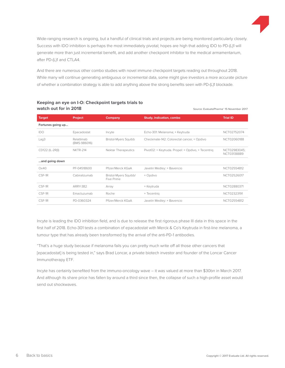

Wide-ranging research is ongoing, but a handful of clinical trials and projects are being monitored particularly closely. Success with IDO inhibition is perhaps the most immediately pivotal; hopes are high that adding IDO to PD-(L)1 will generate more than just incremental benefit, and add another checkpoint inhibitor to the medical armamentarium, after PD-(L)1 and CTLA4.

And there are numerous other combo studies with novel immune checkpoint targets reading out throughout 2018. While many will continue generating ambiguous or incremental data, some might give investors a more accurate picture of whether a combination strategy is able to add anything above the strong benefits seen with PD-(L)1 blockade.

| watch out for in 2018 |                            |                                     | Source: EvaluatePharma® 15 November 2017           |                             |  |
|-----------------------|----------------------------|-------------------------------------|----------------------------------------------------|-----------------------------|--|
| Target                | Project                    | Company                             | <b>Study, indication, combo</b>                    | <b>Trial ID</b>             |  |
| Fortunes going up     |                            |                                     |                                                    |                             |  |
| IDO                   | Epacadostat                | Incyte                              | Echo-301: Melanoma; + Keytruda                     | NCT02752074                 |  |
| Lag3                  | Relatlimab<br>(BMS-986016) | <b>Bristol-Myers Squibb</b>         | Checkmate-142: Colorectal cancer, + Opdivo         | NCT02060188                 |  |
| CD122 (IL-2RB)        | <b>NKTR-214</b>            | Nektar Therapeutics                 | Pivot02: + Keytruda. Propel: + Opdivo, + Tecentriq | NCT02983045;<br>NCT03138889 |  |
| and going down        |                            |                                     |                                                    |                             |  |
| Ox40                  | PF-04518600                | Pfizer/Merck KGaA                   | Javelin Medley: + Bavencio                         | NCT02554812                 |  |
| CSF-1R                | Cabiralizumab              | Bristol-Myers Squibb/<br>Five Prime | + Opdivo                                           | NCT02526017                 |  |
| CSF-1R                | <b>ARRY-382</b>            | Array                               | + Keytruda                                         | NCT02880371                 |  |
| CSF-1R                | Emactuzumab                | Roche                               | + Tecentrig                                        | NCT02323191                 |  |
| CSF-1R                | PD-0360324                 | Pfizer/Merck KGaA                   | Javelin Medley: + Bavencio                         | NCT02554812                 |  |

### **Keeping an eye on I-O: Checkpoint targets trials to** watch out for in 2018

Incyte is leading the IDO inhibition field, and is due to release the first rigorous phase III data in this space in the first half of 2018. Echo-301 tests a combination of epacadostat with Merck & Co's Keytruda in first-line melanoma, a tumour type that has already been transformed by the arrival of the anti-PD-1 antibodies.

"That's a huge study because if melanoma fails you can pretty much write off all those other cancers that [epacadostat] is being tested in," says Brad Loncar, a private biotech investor and founder of the Loncar Cancer Immunotherapy ETF.

Incyte has certainly benefited from the immuno-oncology wave – it was valued at more than \$30bn in March 2017. And although its share price has fallen by around a third since then, the collapse of such a high-profile asset would send out shockwaves.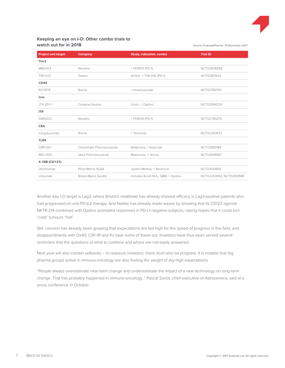

Source: EvaluatePharma® 15 November 2017

### **Keeping an eye on I-O: Other combo trials to** watch out for in 2018

| <b>Project and target</b> | <b>Company</b>              | <b>Study, indication, combo</b>    | <b>Trial ID</b>          |
|---------------------------|-----------------------------|------------------------------------|--------------------------|
| Tim <sub>3</sub>          |                             |                                    |                          |
| <b>MBG453</b>             | <b>Novartis</b>             | + PDR001 (PD-1)                    | NCT02608268              |
| <b>TSR-022</b>            | Tesaro                      | Amber: + TSR-042 (PD-1)            | NCT02817633              |
| <b>CD40</b>               |                             |                                    |                          |
| <b>RG7876</b>             | Roche                       | + emactuzumab                      | NCT02760797              |
| Icos                      |                             |                                    |                          |
| JTX-2011                  | Celgene/Jounce              | Iconic: + Opdivo                   | NCT02904226              |
| <b>ITR</b>                |                             |                                    |                          |
| <b>GWN323</b>             | Novartis                    | + PDR001 (PD-1)                    | NCT02740270              |
| <b>CEA</b>                |                             |                                    |                          |
| Cergutuzumab              | Roche                       | + Tecentrig                        | NCT02350673              |
| TLR9                      |                             |                                    |                          |
| <b>CMP-001</b>            | Checkmate Pharmaceuticals   | Melanoma, + Keytruda               | NCT02680184              |
| IMO-2125                  | Idera Pharmaceuticals       | Melanoma, + Yervoy                 | NCT02644967              |
| 4-1BB (CD137)             |                             |                                    |                          |
| Utomilumab                | Pfizer/Merck KGaA           | Javelin Medley: + Bavencio         | NCT02554812              |
| Urelumab                  | <b>Bristol-Myers Squibb</b> | Includes B-cell NHL, GBM; + Opdivo | NCT02253992; NCT02658981 |

Another key I-O target is Lag3, where Bristol's relatlimab has already showed efficacy in Lag3-positive patients who had progressed on anti-PD-(L)1 therapy. And Nektar has already made waves by showing that its CD122 agonist NKTR-214 combined with Opdivo prompted responses in PD-L1-negative subjects, raising hopes that it could turn "cold" tumours "hot".

Still, concern has already been growing that expectations are too high for the speed of progress in this field, and disappointments with Ox40, CSF-1R and Kir bear some of these out. Investors have thus been served several reminders that the questions of what to combine and where are not easily answered.

Next year will also contain setbacks – to reassure investors, there must also be progress. It is notable that big pharma groups active in immuno-oncology are also feeling the weight of sky-high expectations.

"People always overestimate near-term change and underestimate the impact of a new technology on long-term change. That has probably happened in immuno-oncology ," Pascal Soriot, chief executive of Astrazeneca, said at a press conference in October.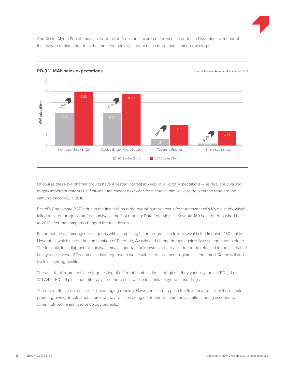

And Bristol-Myers Squibb executives, at the Jefferies healthcare conference in London in November, went out of their way to remind attendees that their company was about much more than immuno-oncology.



**PD-(L)1 MAb sales expectations** and the state of the source: EvaluatePharma<sup>®</sup> 15 November 2017

Of course these big pharma groups have a vested interest in keeping a lid on expectations – several are awaiting hugely important readouts in first-line lung cancer next year, from studies that will also help set the tone around immuno-oncology in 2018.

Bristol's Checkmate-227 is due in the first half, as is the overall survival result from Astrazeneca's Mystic study, which failed to hit on progression-free survival at the first reading. Data from Merck's Keynote-189 have been pushed back to 2019 after the company changed the trial design.

Roche put the cat amongst the pigeons with a surprising hit on progression free survival in the Impower-150 trial in November, which tested the combination of Tecentriq, Avastin and chemotherapy against Avastin and chemo alone. The full data, including overall survival, remain important unknowns and are also due to be released in the first half of next year. However if Tecentriq's advantage over a well-established treatment regimen is confirmed, Roche will find itself in a strong position.

These trials all represent late-stage testing of different combination strategies – they variously look at PD-(L)1 plus CTLA4 or PD-(L)1 plus chemotherapy – so the results will be influential beyond these drugs.

The recent Roche data make for encouraging reading. However failure to push the field forwards elsewhere could prompt growing doubts about some of the promises being made about – and the valuations being ascribed to – other high-profile immuno-oncology projects.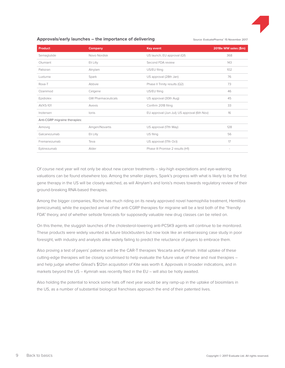

#### Approvals/early launches – the importance of delivering

Source: EvaluatePharma<sup>®</sup> 15 November 2017

| <b>Product</b>                | Company                   | <b>Key event</b>                             | 2018e WW sales (\$m) |  |  |
|-------------------------------|---------------------------|----------------------------------------------|----------------------|--|--|
| Semaglutide                   | Novo Nordisk              | US launch; EU approval (Q1)                  | 368                  |  |  |
| Olumiant                      | Eli Lilly                 | Second FDA review                            | 143                  |  |  |
| Patisiran                     | Alnylam                   | US/EU filing                                 | 102                  |  |  |
| Luxturna                      | Spark                     | US approval (28th Jan)                       | 76                   |  |  |
| Rova-T                        | Abbvie                    | Phase II Trinity results (Q2)                | 73                   |  |  |
| Ozanimod                      | Celgene                   | US/EU filing                                 | 46                   |  |  |
| Epidiolex                     | <b>GW Pharmaceuticals</b> | US approval (30th Aug)                       | 45                   |  |  |
| <b>AVXS-101</b>               | Avexis                    | Confirm 2018 filing                          | 33                   |  |  |
| Inotersen                     | lonis                     | EU approval (Jun-Jul); US approval (6th Nov) | 16                   |  |  |
| Anti-CGRP migraine therapies: |                           |                                              |                      |  |  |
| Aimovig                       | Amgen/Novartis            | US approval (17th May)                       | 128                  |  |  |
| Galcanezumab                  | Eli Lilly                 | US filing                                    | 56                   |  |  |
| Fremanezumab                  | Teva                      | US approval (17th Oct)                       | 17                   |  |  |
| Eptinezumab                   | Alder                     | Phase III Promise 2 results (H1)             | $\sim$               |  |  |

Of course next year will not only be about new cancer treatments – sky-high expectations and eye-watering valuations can be found elsewhere too. Among the smaller players, Spark's progress with what is likely to be the first gene therapy in the US will be closely watched, as will Alnylam's and Ionis's moves towards regulatory review of their ground-breaking RNA-based therapies.

Among the bigger companies, Roche has much riding on its newly approved novel haemophilia treatment, Hemlibra (emicizumab), while the expected arrival of the anti-CGRP therapies for migraine will be a test both of the "friendly FDA" theory, and of whether sellside forecasts for supposedly valuable new drug classes can be relied on.

On this theme, the sluggish launches of the cholesterol-lowering anti-PCSK9 agents will continue to be monitored. These products were widely vaunted as future blockbusters but now look like an embarrassing case study in poor foresight, with industry and analysts alike widely failing to predict the reluctance of payers to embrace them.

Also proving a test of payers' patience will be the CAR-T therapies Yescarta and Kymriah. Initial uptake of these cutting-edge therapies will be closely scrutinised to help evaluate the future value of these and rival therapies – and help judge whether Gilead's \$12bn acquisition of Kite was worth it. Approvals in broader indications, and in markets beyond the US – Kymriah was recently filed in the EU – will also be hotly awaited.

Also holding the potential to knock some hats off next year would be any ramp-up in the uptake of biosimilars in the US, as a number of substantial biological franchises approach the end of their patented lives.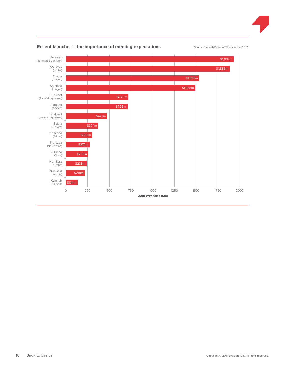



### Recent launches – the importance of meeting expectations **Source: EvaluatePharma**® 15 November 2017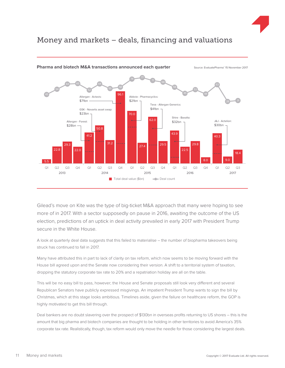

### Money and markets – deals, financing and valuations



### **Pharma and biotech M&A transactions announced each quarter** Source: EvaluatePharma<sup>®</sup> 15 November 2017

Gilead's move on Kite was the type of big-ticket M&A approach that many were hoping to see more of in 2017. With a sector supposedly on pause in 2016, awaiting the outcome of the US election, predictions of an uptick in deal activity prevailed in early 2017 with President Trump secure in the White House.

A look at quarterly deal data suggests that this failed to materialise – the number of biopharma takeovers being struck has continued to fall in 2017.

Many have attributed this in part to lack of clarity on tax reform, which now seems to be moving forward with the House bill agreed upon and the Senate now considering their version. A shift to a territorial system of taxation, dropping the statutory corporate tax rate to 20% and a repatriation holiday are all on the table.

This will be no easy bill to pass, however; the House and Senate proposals still look very different and several Republican Senators have publicly expressed misgivings. An impatient President Trump wants to sign the bill by Christmas, which at this stage looks ambitious. Timelines aside, given the failure on healthcare reform, the GOP is highly motivated to get this bill through.

Deal bankers are no doubt slavering over the prospect of \$130bn in overseas profits returning to US shores – this is the amount that big pharma and biotech companies are thought to be holding in other territories to avoid America's 35% corporate tax rate. Realistically, though, tax reform would only move the needle for those considering the largest deals.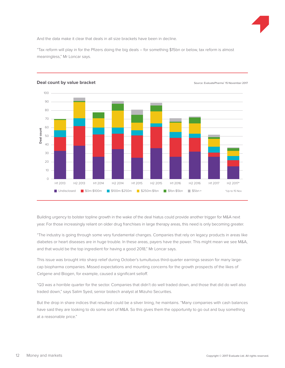

And the data make it clear that deals in all size brackets have been in decline.

"Tax reform will play in for the Pfizers doing the big deals – for something \$15bn or below, tax reform is almost meaningless," Mr Loncar says.



**Source: Evaluate Pharmaries and Count by value bracket** 15 November 2017

Building urgency to bolster topline growth in the wake of the deal hiatus could provide another trigger for M&A next year. For those increasingly reliant on older drug franchises in large therapy areas, this need is only becoming greater.

"The industry is going through some very fundamental changes. Companies that rely on legacy products in areas like diabetes or heart diseases are in huge trouble. In these areas, payers have the power. This might mean we see M&A, and that would be the top ingredient for having a good 2018," Mr Loncar says.

This issue was brought into sharp relief during October's tumultuous third-quarter earnings season for many largecap biopharma companies. Missed expectations and mounting concerns for the growth prospects of the likes of Celgene and Biogen, for example, caused a significant selloff.

"Q3 was a horrible quarter for the sector. Companies that didn't do well traded down, and those that did do well also traded down," says Salim Syed, senior biotech analyst at Mizuho Securities.

But the drop in share indices that resulted could be a silver lining, he maintains. "Many companies with cash balances have said they are looking to do some sort of M&A. So this gives them the opportunity to go out and buy something at a reasonable price."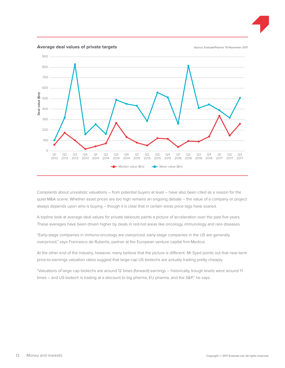

Complaints about unrealistic valuations – from potential buyers at least – have also been cited as a reason for the quiet M&A scene. Whether asset prices are too high remains an ongoing debate – the value of a company or project always depends upon who is buying – though it is clear that in certain areas price tags have soared.

A topline look at average deal values for private takeouts paints a picture of acceleration over the past five years. These averages have been driven higher by deals in red-hot areas like oncology, immunology and rare diseases.

"Early-stage companies in immuno-oncology are overpriced; early-stage companies in the US are generally overpriced," says Francesco de Rubertis, partner at the European venture capital firm Medicxi.

At the other end of the industry, however, many believe that the picture is different. Mr Syed points out that near-term price-to-earnings valuation ratios suggest that large-cap US biotechs are actually trading pretty cheaply.

"Valuations of large cap biotechs are around 12 times (forward) earnings – historically, trough levels were around 11 times – and US biotech is trading at a discount to big pharma, EU pharma, and the S&P," he says.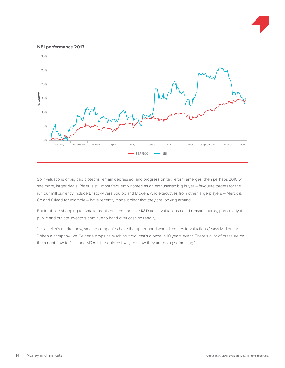#### **NBI performance 2017**



So if valuations of big cap biotechs remain depressed, and progress on tax reform emerges, then perhaps 2018 will see more, larger deals. Pfizer is still most frequently named as an enthusiastic big buyer – favourite targets for the rumour mill currently include Bristol-Myers Squibb and Biogen. And executives from other large players – Merck & Co and Gilead for example – have recently made it clear that they are looking around.

But for those shopping for smaller deals or in competitive R&D fields valuations could remain chunky, particularly if public and private investors continue to hand over cash so readily.

"It's a seller's market now, smaller companies have the upper hand when it comes to valuations," says Mr Loncar. "When a company like Celgene drops as much as it did, that's a once in 10 years event. There's a lot of pressure on them right now to fix it, and M&A is the quickest way to show they are doing something."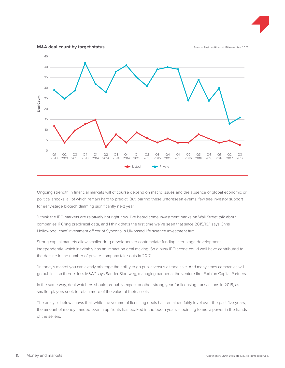

Ongoing strength in financial markets will of course depend on macro issues and the absence of global economic or political shocks, all of which remain hard to predict. But, barring these unforeseen events, few see investor support for early-stage biotech dimming significantly next year.

"I think the IPO markets are relatively hot right now. I've heard some investment banks on Wall Street talk about companies IPO'ing preclinical data, and I think that's the first time we've seen that since 2015/16," says Chris Hollowood, chief investment officer of Syncona, a UK-based life science investment firm.

Strong capital markets allow smaller drug developers to contemplate funding later-stage development independently, which inevitably has an impact on deal making. So a busy IPO scene could well have contributed to the decline in the number of private-company take-outs in 2017.

"In today's market you can clearly arbitrage the ability to go public versus a trade sale. And many times companies will go public – so there is less M&A," says Sander Slootweg, managing partner at the venture firm Forbion Capital Partners.

In the same way, deal watchers should probably expect another strong year for licensing transactions in 2018, as smaller players seek to retain more of the value of their assets.

The analysis below shows that, while the volume of licensing deals has remained fairly level over the past five years, the amount of money handed over in up-fronts has peaked in the boom years – pointing to more power in the hands of the sellers.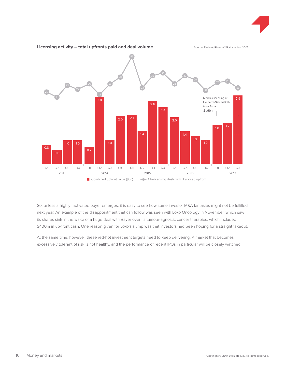

So, unless a highly motivated buyer emerges, it is easy to see how some investor M&A fantasies might not be fulfilled next year. An example of the disappointment that can follow was seen with Loxo Oncology in November, which saw its shares sink in the wake of a huge deal with Bayer over its tumour-agnostic cancer therapies, which included \$400m in up-front cash. One reason given for Loxo's slump was that investors had been hoping for a straight takeout.

At the same time, however, these red-hot investment targets need to keep delivering. A market that becomes excessively tolerant of risk is not healthy, and the performance of recent IPOs in particular will be closely watched.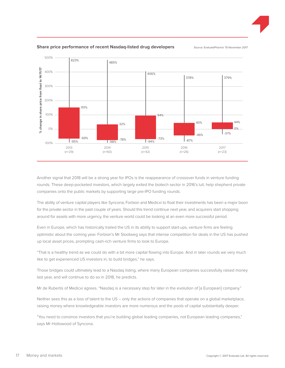



### **Share price performance of recent Nasdaq-listed drug developers** Source: EvaluatePharma' 15 November 2017

Another signal that 2018 will be a strong year for IPOs is the reappearance of crossover funds in venture funding rounds. These deep-pocketed investors, which largely exited the biotech sector in 2016's lull, help shepherd private companies onto the public markets by supporting large pre-IPO funding rounds.

The ability of venture capital players like Syncona, Forbion and Medicxi to float their investments has been a major boon for the private sector in the past couple of years. Should this trend continue next year, and acquirers start shopping around for assets with more urgency, the venture world could be looking at an even more successful period.

Even in Europe, which has historically trailed the US in its ability to support start-ups, venture firms are feeling optimistic about the coming year. Forbion's Mr Slootweg says that intense competition for deals in the US has pushed up local asset prices, prompting cash-rich venture firms to look to Europe.

"That is a healthy trend as we could do with a bit more capital flowing into Europe. And in later rounds we very much like to get experienced US investors in, to build bridges," he says.

Those bridges could ultimately lead to a Nasdaq listing, where many European companies successfully raised money last year, and will continue to do so in 2018, he predicts.

Mr de Rubertis of Medicxi agrees. "Nasdaq is a necessary step for later in the evolution of [a European] company."

Neither sees this as a loss of talent to the US – only the actions of companies that operate on a global marketplace, raising money where knowledgeable investors are more numerous and the pools of capital substantially deeper.

"You need to convince investors that you're building global leading companies, not European leading companies," says Mr Hollowood of Syncona.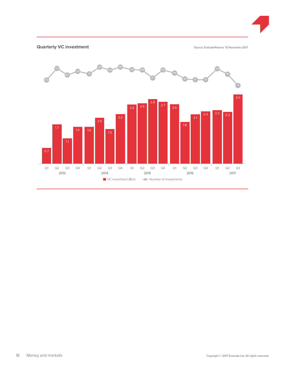

### **Quarterly VC investment C** interest in the source: EvaluatePharma<sup>®</sup> 15 November 2017

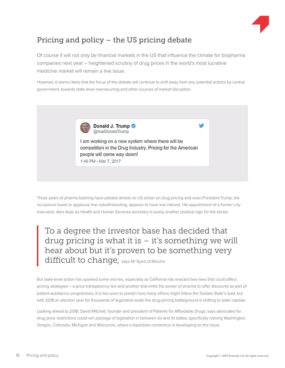

### Pricing and policy – the US pricing debate

Of course it will not only be financial markets in the US that influence the climate for biopharma companies next year – heightened scrutiny of drug prices in the world's most lucrative medicine market will remain a live issue.

However, it seems likely that the focus of the debate will continue to shift away from any potential actions by central government, towards state level manoeuvring and other sources of market disruption.



I am working on a new system where there will be competition in the Drug Industry. Pricing for the American people will come way down! 1:46 PM - Mar 7, 2017

Three years of pharma-bashing have yielded almost no US action on drug pricing and even President Trump, the occasional tweet or applause line notwithstanding, appears to have lost interest. His appointment of a former Lilly executive, Alex Azar, as Health and Human Services secretary is surely another positive sign for the sector.

To a degree the investor base has decided that drug pricing is what it is  $-$  it's something we will hear about but it's proven to be something very difficult to change, says Mr Syed of Mizuho.

But state-level action has sparked some worries, especially as California has enacted two laws that could affect pricing strategies – a price transparency law and another that limits the power of pharma to offer discounts as part of patient-assistance programmes. It is too soon to predict how many others might follow the Golden State's lead, but with 2018 an election year for thousands of legislative seats the drug-pricing battleground is shifting to state capitals

Looking ahead to 2018, David Mitchell, founder and president of Patients for Affordable Drugs, says advocates for drug price restrictions could win passage of legislation in between six and 10 states, specifically naming Washington, Oregon, Colorado, Michigan and Wisconsin, where a bipartisan consensus is developing on the issue.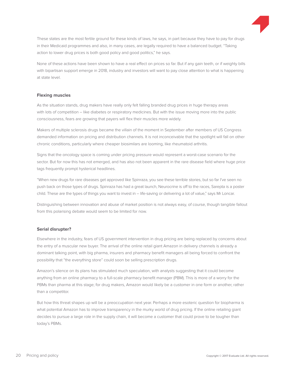

These states are the most fertile ground for these kinds of laws, he says, in part because they have to pay for drugs in their Medicaid programmes and also, in many cases, are legally required to have a balanced budget. "Taking action to lower drug prices is both good policy and good politics," he says.

None of these actions have been shown to have a real effect on prices so far. But if any gain teeth, or if weighty bills with bipartisan support emerge in 2018, industry and investors will want to pay close attention to what is happening at state level.

### **Flexing muscles**

As the situation stands, drug makers have really only felt falling branded drug prices in huge therapy areas with lots of competition – like diabetes or respiratory medicines. But with the issue moving more into the public consciousness, fears are growing that payers will flex their muscles more widely.

Makers of multiple sclerosis drugs became the villain of the moment in September after members of US Congress demanded information on pricing and distribution channels. It is not inconceivable that the spotlight will fall on other chronic conditions, particularly where cheaper biosimilars are looming, like rheumatoid arthritis.

Signs that the oncology space is coming under pricing pressure would represent a worst-case scenario for the sector. But for now this has not emerged, and has also not been apparent in the rare disease field where huge price tags frequently prompt hysterical headlines.

"When new drugs for rare diseases get approved like Spinraza, you see these terrible stories, but so far I've seen no push back on those types of drugs. Spinraza has had a great launch, Neurocrine is off to the races, Sarepta is a poster child. These are the types of things you want to invest in – life-saving or delivering a lot of value," says Mr Loncar.

Distinguishing between innovation and abuse of market position is not always easy, of course, though tangible fallout from this polarising debate would seem to be limited for now.

### **Serial disrupter?**

Elsewhere in the industry, fears of US government intervention in drug pricing are being replaced by concerns about the entry of a muscular new buyer. The arrival of the online retail giant Amazon in delivery channels is already a dominant talking point, with big pharma, insurers and pharmacy benefit managers all being forced to confront the possibility that "the everything store" could soon be selling prescription drugs.

Amazon's silence on its plans has stimulated much speculation, with analysts suggesting that it could become anything from an online pharmacy to a full-scale pharmacy benefit manager (PBM). This is more of a worry for the PBMs than pharma at this stage; for drug makers, Amazon would likely be a customer in one form or another, rather than a competitor.

But how this threat shapes up will be a preoccupation next year. Perhaps a more esoteric question for biopharma is what potential Amazon has to improve transparency in the murky world of drug pricing. If the online retailing giant decides to pursue a large role in the supply chain, it will become a customer that could prove to be tougher than today's PBMs.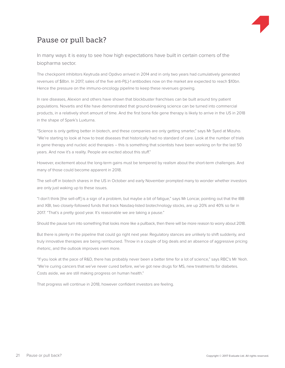

### Pause or pull back?

In many ways it is easy to see how high expectations have built in certain corners of the biopharma sector.

The checkpoint inhibitors Keytruda and Opdivo arrived in 2014 and in only two years had cumulatively generated revenues of \$8bn. In 2017, sales of the five anti-P(L)-1 antibodies now on the market are expected to reach \$10bn. Hence the pressure on the immuno-oncology pipeline to keep these revenues growing.

In rare diseases, Alexion and others have shown that blockbuster franchises can be built around tiny patient populations. Novartis and Kite have demonstrated that ground-breaking science can be turned into commercial products, in a relatively short amount of time. And the first bona fide gene therapy is likely to arrive in the US in 2018 in the shape of Spark's Luxturna.

"Science is only getting better in biotech, and these companies are only getting smarter," says Mr Syed at Mizuho. "We're starting to look at how to treat diseases that historically had no standard of care. Look at the number of trials in gene therapy and nucleic acid therapies – this is something that scientists have been working on for the last 50 years. And now it's a reality. People are excited about this stuff."

However, excitement about the long-term gains must be tempered by realism about the short-term challenges. And many of those could become apparent in 2018.

The sell-off in biotech shares in the US in October and early November prompted many to wonder whether investors are only just waking up to these issues.

"I don't think [the sell-off] is a sign of a problem, but maybe a bit of fatigue," says Mr Loncar, pointing out that the IBB and XBI, two closely-followed funds that track Nasdaq-listed biotechnology stocks, are up 20% and 40% so far in 2017. "That's a pretty good year. It's reasonable we are taking a pause."

Should the pause turn into something that looks more like a pullback, then there will be more reason to worry about 2018.

But there is plenty in the pipeline that could go right next year. Regulatory stances are unlikely to shift suddenly, and truly innovative therapies are being reimbursed. Throw in a couple of big deals and an absence of aggressive pricing rhetoric, and the outlook improves even more.

"If you look at the pace of R&D, there has probably never been a better time for a lot of science," says RBC's Mr Yeoh. "We're curing cancers that we've never cured before, we've got new drugs for MS, new treatments for diabetes. Costs aside, we are still making progress on human health."

That progress will continue in 2018, however confident investors are feeling.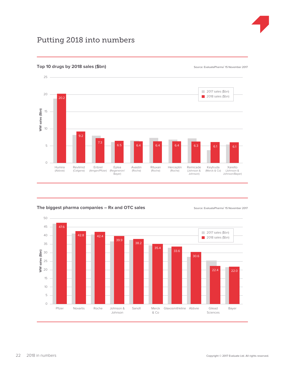

### Putting 2018 into numbers



**Source: EvaluatePharma**® 15 November 2017 **Top 10 drugs by 2018 sales (\$bn)** 15 November 2017

The biggest pharma companies – Rx and OTC sales **1988** Source: EvaluatePharma<sup>®</sup> 15 November 2017

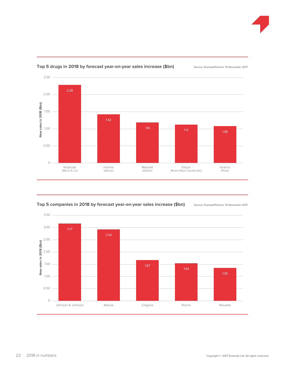



### Top 5 drugs in 2018 by forecast year-on-year sales increase (\$bn) Source: EvaluatePharma<sup>®</sup> 15 November 2017



Top 5 companies in 2018 by forecast year-on-year sales increase (\$bn) Source: EvaluatePharma<sup>®</sup> 15 November 2017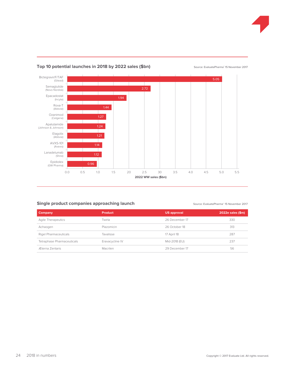



### Top 10 potential launches in 2018 by 2022 sales (\$bn) Source: EvaluatePharma<sup>®</sup> 15 November 2017

### **Single product companies approaching launch**

Source: EvaluatePharma<sup>®</sup> 15 November 2017

| <b>Company</b>             | <b>Product</b>   | <b>US approval</b> | 2022e sales (\$m) |
|----------------------------|------------------|--------------------|-------------------|
| <b>Agile Therapeutics</b>  | Twirla           | 26 December 17     | 330               |
| Achaogen                   | Plazomicin       | 26 October 18      | 313               |
| Rigel Pharmaceuticals      | <b>Tavalisse</b> | 17 April 18        | 287               |
| Tetraphase Pharmaceuticals | Eravacycline IV  | Mid-2018 (EU)      | 237               |
| Æterna Zentaris            | Macrilen         | 29 December 17     | 56                |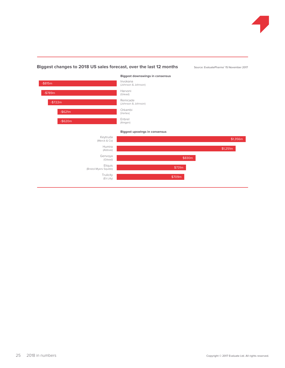

### Biggest changes to 2018 US sales forecast, over the last 12 months Source: EvaluatePharma<sup>®</sup> 15 November 2017